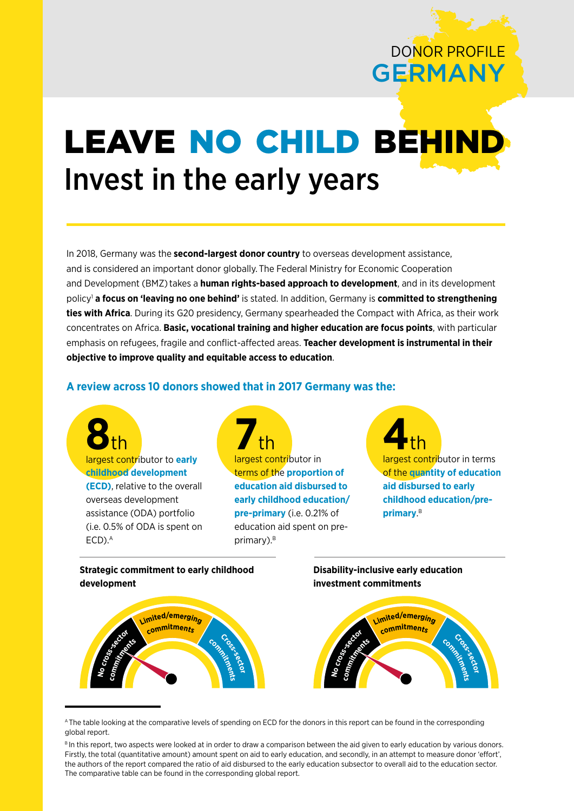# DONOR PROFILE GERMANY

# LEAVE NO CHILD BEHIN Invest in the early years

In 2018, Germany was the **second-largest donor country** to overseas development assistance, and is considered an important donor globally. The Federal Ministry for Economic Cooperation and Development (BMZ)takes a **human rights-based approach to development**, and in its development policy1 **a focus on 'leaving no one behind'** is stated. In addition, Germany is **committed to strengthening ties with Africa**. During its G20 presidency, Germany spearheaded the Compact with Africa, as their work concentrates on Africa. **Basic, vocational training and higher education are focus points**, with particular emphasis on refugees, fragile and conflict-affected areas. **Teacher development is instrumental in their objective to improve quality and equitable access to education**.

# **A review across 10 donors showed that in 2017 Germany was the:**







A The table looking at the comparative levels of spending on ECD for the donors in this report can be found in the corresponding global report.

BIn this report, two aspects were looked at in order to draw a comparison between the aid given to early education by various donors. Firstly, the total (quantitative amount) amount spent on aid to early education, and secondly, in an attempt to measure donor 'effort', the authors of the report compared the ratio of aid disbursed to the early education subsector to overall aid to the education sector. The comparative table can be found in the corresponding global report.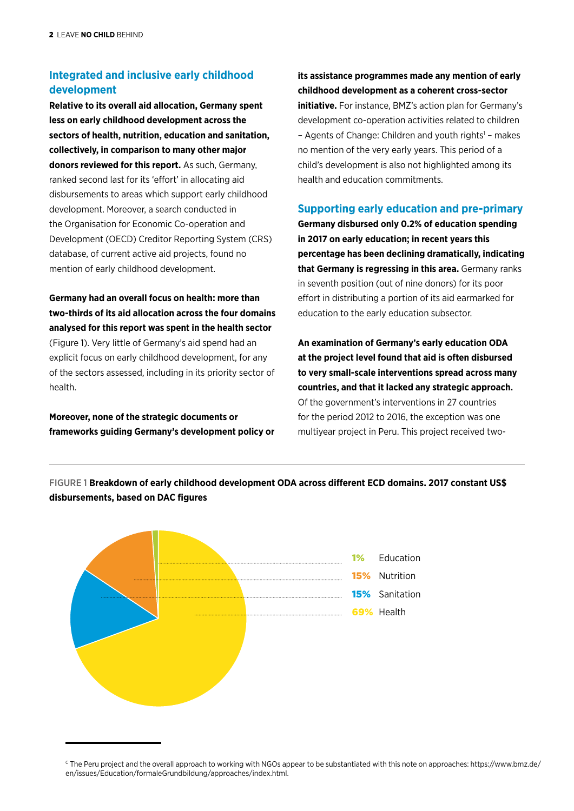# **Integrated and inclusive early childhood development**

**Relative to its overall aid allocation, Germany spent less on early childhood development across the sectors of health, nutrition, education and sanitation, collectively, in comparison to many other major donors reviewed for this report.** As such, Germany, ranked second last for its 'effort' in allocating aid disbursements to areas which support early childhood development. Moreover, a search conducted in the Organisation for Economic Co-operation and Development (OECD) Creditor Reporting System (CRS) database, of current active aid projects, found no mention of early childhood development.

**Germany had an overall focus on health: more than two-thirds of its aid allocation across the four domains analysed for this report was spent in the health sector**  (Figure 1). Very little of Germany's aid spend had an explicit focus on early childhood development, for any of the sectors assessed, including in its priority sector of health.

**Moreover, none of the strategic documents or frameworks guiding Germany's development policy or** 

**its assistance programmes made any mention of early childhood development as a coherent cross-sector initiative.** For instance, BMZ's action plan for Germany's development co-operation activities related to children - Agents of Change: Children and youth rights<sup>1</sup> - makes no mention of the very early years. This period of a child's development is also not highlighted among its

## **Supporting early education and pre-primary**

health and education commitments.

**Germany disbursed only 0.2% of education spending in 2017 on early education; in recent years this percentage has been declining dramatically, indicating that Germany is regressing in this area.** Germany ranks in seventh position (out of nine donors) for its poor effort in distributing a portion of its aid earmarked for education to the early education subsector.

**An examination of Germany's early education ODA at the project level found that aid is often disbursed to very small-scale interventions spread across many countries, and that it lacked any strategic approach.** Of the government's interventions in 27 countries for the period 2012 to 2016, the exception was one multiyear project in Peru. This project received two-



FIGURE 1 **Breakdown of early childhood development ODA across different ECD domains. 2017 constant US\$ disbursements, based on DAC figures**

<sup>&</sup>lt;sup>c</sup> The Peru project and the overall approach to working with NGOs appear to be substantiated with this note on approaches: [https://www.bmz.de/](https://www.bmz.de/en/issues/Education/formaleGrundbildung/approaches/index.html) [en/issues/Education/formaleGrundbildung/approaches/index.html.](https://www.bmz.de/en/issues/Education/formaleGrundbildung/approaches/index.html)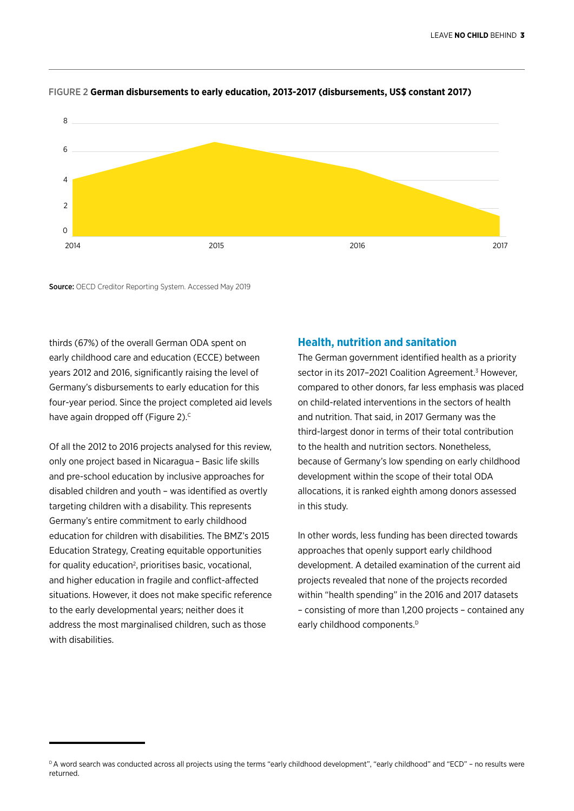

#### FIGURE 2 **German disbursements to early education, 2013-2017 (disbursements, US\$ constant 2017)**

Source: OECD Creditor Reporting System. Accessed May 2019

thirds (67%) of the overall German ODA spent on early childhood care and education (ECCE) between years 2012 and 2016, significantly raising the level of Germany's disbursements to early education for this four-year period. Since the project completed aid levels have again dropped off (Figure 2).<sup>c</sup>

Of all the 2012 to 2016 projects analysed for this review, only one project based in Nicaragua – Basic life skills and pre-school education by inclusive approaches for disabled children and youth – was identified as overtly targeting children with a disability. This represents Germany's entire commitment to early childhood education for children with disabilities. The BMZ's 2015 Education Strategy, Creating equitable opportunities for quality education<sup>2</sup>, prioritises basic, vocational, and higher education in fragile and conflict-affected situations. However, it does not make specific reference to the early developmental years; neither does it address the most marginalised children, such as those with disabilities.

### **Health, nutrition and sanitation**

The German government identified health as a priority sector in its 2017-2021 Coalition Agreement.<sup>3</sup> However, compared to other donors, far less emphasis was placed on child-related interventions in the sectors of health and nutrition. That said, in 2017 Germany was the third-largest donor in terms of their total contribution to the health and nutrition sectors. Nonetheless, because of Germany's low spending on early childhood development within the scope of their total ODA allocations, it is ranked eighth among donors assessed in this study.

In other words, less funding has been directed towards approaches that openly support early childhood development. A detailed examination of the current aid projects revealed that none of the projects recorded within "health spending" in the 2016 and 2017 datasets – consisting of more than 1,200 projects – contained any early childhood components.<sup>D</sup>

DA word search was conducted across all projects using the terms "early childhood development", "early childhood" and "ECD" - no results were returned.